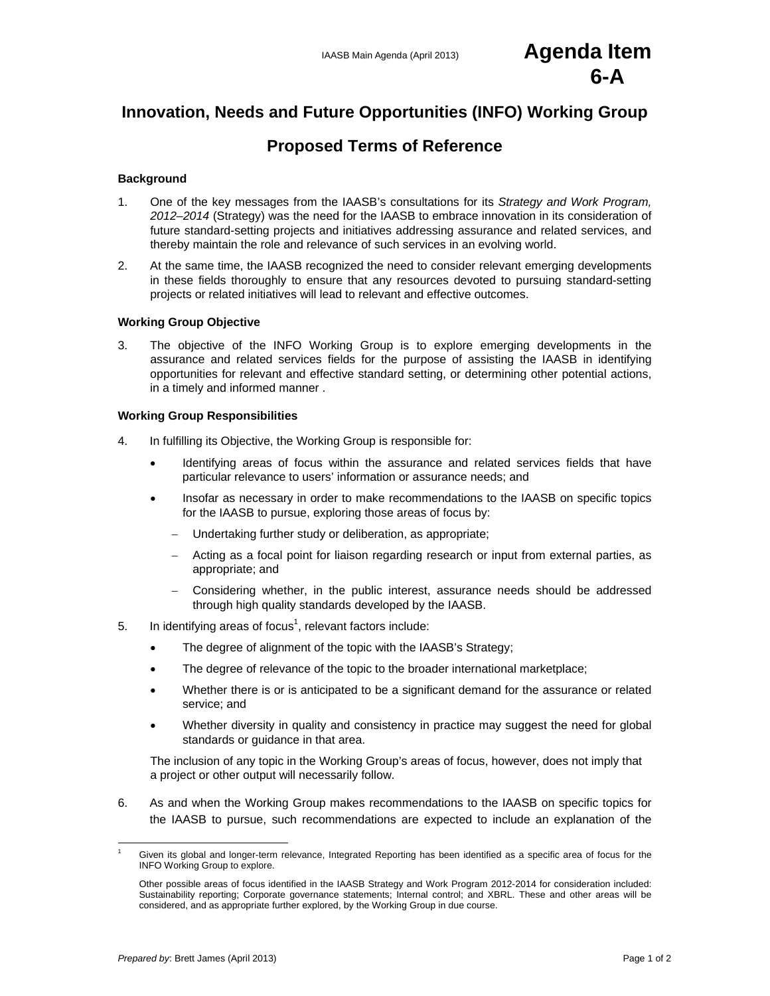# IAASB Main Agenda (April 2013) **Agenda Item 6-A**

# **Innovation, Needs and Future Opportunities (INFO) Working Group**

# **Proposed Terms of Reference**

#### **Background**

- 1. One of the key messages from the IAASB's consultations for its *Strategy and Work Program, 2012–2014* (Strategy) was the need for the IAASB to embrace innovation in its consideration of future standard-setting projects and initiatives addressing assurance and related services, and thereby maintain the role and relevance of such services in an evolving world.
- 2. At the same time, the IAASB recognized the need to consider relevant emerging developments in these fields thoroughly to ensure that any resources devoted to pursuing standard-setting projects or related initiatives will lead to relevant and effective outcomes.

#### **Working Group Objective**

3. The objective of the INFO Working Group is to explore emerging developments in the assurance and related services fields for the purpose of assisting the IAASB in identifying opportunities for relevant and effective standard setting, or determining other potential actions, in a timely and informed manner .

#### **Working Group Responsibilities**

- 4. In fulfilling its Objective, the Working Group is responsible for:
	- Identifying areas of focus within the assurance and related services fields that have particular relevance to users' information or assurance needs; and
	- Insofar as necessary in order to make recommendations to the IAASB on specific topics for the IAASB to pursue, exploring those areas of focus by:
		- Undertaking further study or deliberation, as appropriate;
		- Acting as a focal point for liaison regarding research or input from external parties, as appropriate; and
		- Considering whether, in the public interest, assurance needs should be addressed through high quality standards developed by the IAASB.
- 5. In identifying areas of focus<sup>1</sup>, relevant factors include:
	- The degree of alignment of the topic with the IAASB's Strategy;
	- The degree of relevance of the topic to the broader international marketplace;
	- Whether there is or is anticipated to be a significant demand for the assurance or related service; and
	- Whether diversity in quality and consistency in practice may suggest the need for global standards or guidance in that area.

The inclusion of any topic in the Working Group's areas of focus, however, does not imply that a project or other output will necessarily follow.

6. As and when the Working Group makes recommendations to the IAASB on specific topics for the IAASB to pursue, such recommendations are expected to include an explanation of the

Given its global and longer-term relevance, Integrated Reporting has been identified as a specific area of focus for the INFO Working Group to explore.

Other possible areas of focus identified in the IAASB Strategy and Work Program 2012-2014 for consideration included: Sustainability reporting; Corporate governance statements; Internal control; and XBRL. These and other areas will be considered, and as appropriate further explored, by the Working Group in due course.